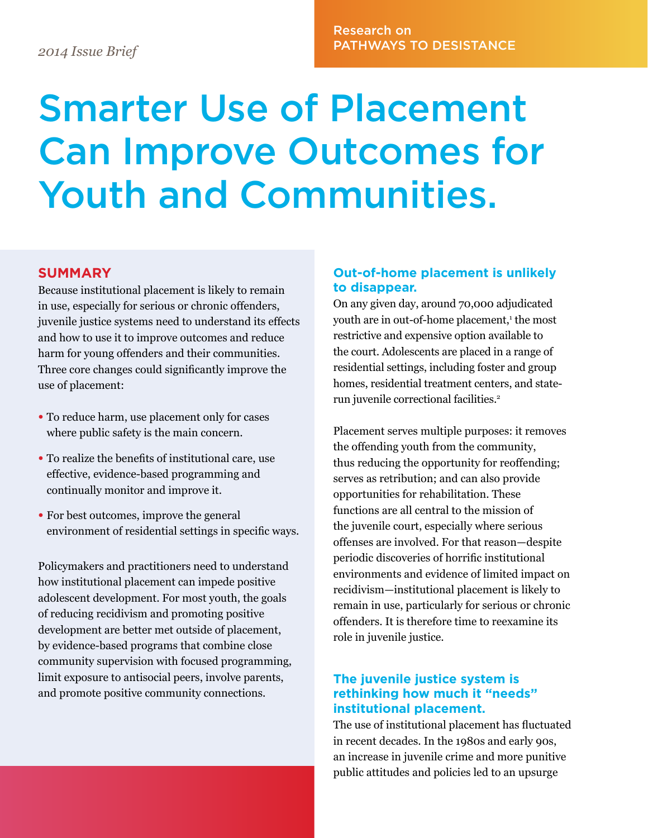# Research on PATHWAYS TO DESISTANCE *2014 Issue Brief*

# Smarter Use of Placement Can Improve Outcomes for Youth and Communities.

#### **SUMMARY**

Because institutional placement is likely to remain in use, especially for serious or chronic offenders, juvenile justice systems need to understand its effects and how to use it to improve outcomes and reduce harm for young offenders and their communities. Three core changes could significantly improve the use of placement:

- To reduce harm, use placement only for cases where public safety is the main concern.
- To realize the benefits of institutional care, use effective, evidence-based programming and continually monitor and improve it.
- For best outcomes, improve the general environment of residential settings in specific ways.

Policymakers and practitioners need to understand how institutional placement can impede positive adolescent development. For most youth, the goals of reducing recidivism and promoting positive development are better met outside of placement, by evidence-based programs that combine close community supervision with focused programming, limit exposure to antisocial peers, involve parents, and promote positive community connections.

#### **Out-of-home placement is unlikely to disappear.**

On any given day, around 70,000 adjudicated youth are in out-of-home placement,<sup>1</sup> the most restrictive and expensive option available to the court. Adolescents are placed in a range of residential settings, including foster and group homes, residential treatment centers, and staterun juvenile correctional facilities.<sup>2</sup>

Placement serves multiple purposes: it removes the offending youth from the community, thus reducing the opportunity for reoffending; serves as retribution; and can also provide opportunities for rehabilitation. These functions are all central to the mission of the juvenile court, especially where serious offenses are involved. For that reason—despite periodic discoveries of horrific institutional environments and evidence of limited impact on recidivism—institutional placement is likely to remain in use, particularly for serious or chronic offenders. It is therefore time to reexamine its role in juvenile justice.

#### **The juvenile justice system is rethinking how much it "needs" institutional placement.**

The use of institutional placement has fluctuated in recent decades. In the 1980s and early 90s, an increase in juvenile crime and more punitive public attitudes and policies led to an upsurge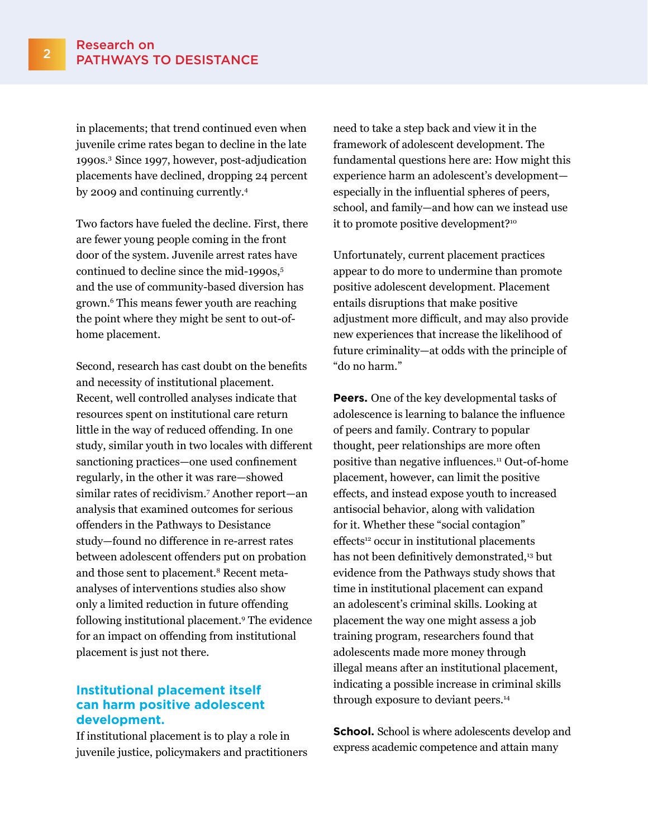in placements; that trend continued even when juvenile crime rates began to decline in the late 1990s.3 Since 1997, however, post-adjudication placements have declined, dropping 24 percent by 2009 and continuing currently.4

Two factors have fueled the decline. First, there are fewer young people coming in the front door of the system. Juvenile arrest rates have continued to decline since the mid-1990s,<sup>5</sup> and the use of community-based diversion has grown.6 This means fewer youth are reaching the point where they might be sent to out-ofhome placement.

Second, research has cast doubt on the benefits and necessity of institutional placement. Recent, well controlled analyses indicate that resources spent on institutional care return little in the way of reduced offending. In one study, similar youth in two locales with different sanctioning practices—one used confinement regularly, in the other it was rare—showed similar rates of recidivism.7 Another report—an analysis that examined outcomes for serious offenders in the Pathways to Desistance study—found no difference in re-arrest rates between adolescent offenders put on probation and those sent to placement.<sup>8</sup> Recent metaanalyses of interventions studies also show only a limited reduction in future offending following institutional placement.9 The evidence for an impact on offending from institutional placement is just not there.

### **Institutional placement itself can harm positive adolescent development.**

If institutional placement is to play a role in juvenile justice, policymakers and practitioners need to take a step back and view it in the framework of adolescent development. The fundamental questions here are: How might this experience harm an adolescent's development especially in the influential spheres of peers, school, and family—and how can we instead use it to promote positive development?10

Unfortunately, current placement practices appear to do more to undermine than promote positive adolescent development. Placement entails disruptions that make positive adjustment more difficult, and may also provide new experiences that increase the likelihood of future criminality—at odds with the principle of "do no harm."

**Peers.** One of the key developmental tasks of adolescence is learning to balance the influence of peers and family. Contrary to popular thought, peer relationships are more often positive than negative influences.11 Out-of-home placement, however, can limit the positive effects, and instead expose youth to increased antisocial behavior, along with validation for it. Whether these "social contagion" effects<sup>12</sup> occur in institutional placements has not been definitively demonstrated,<sup>13</sup> but evidence from the Pathways study shows that time in institutional placement can expand an adolescent's criminal skills. Looking at placement the way one might assess a job training program, researchers found that adolescents made more money through illegal means after an institutional placement, indicating a possible increase in criminal skills through exposure to deviant peers.14

**School.** School is where adolescents develop and express academic competence and attain many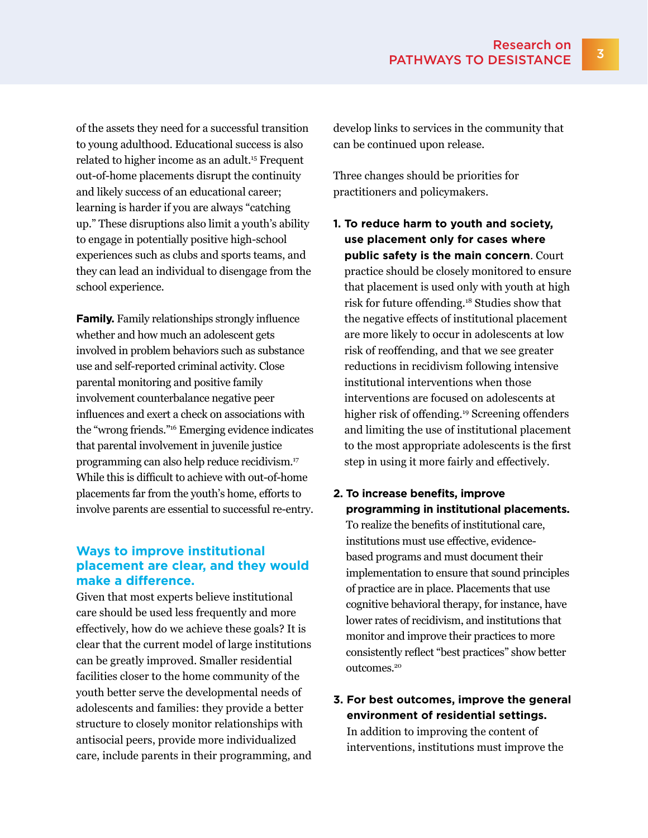of the assets they need for a successful transition to young adulthood. Educational success is also related to higher income as an adult.15 Frequent out-of-home placements disrupt the continuity and likely success of an educational career; learning is harder if you are always "catching up." These disruptions also limit a youth's ability to engage in potentially positive high-school experiences such as clubs and sports teams, and they can lead an individual to disengage from the school experience.

**Family.** Family relationships strongly influence whether and how much an adolescent gets involved in problem behaviors such as substance use and self-reported criminal activity. Close parental monitoring and positive family involvement counterbalance negative peer influences and exert a check on associations with the "wrong friends."16 Emerging evidence indicates that parental involvement in juvenile justice programming can also help reduce recidivism.17 While this is difficult to achieve with out-of-home placements far from the youth's home, efforts to involve parents are essential to successful re-entry.

## **Ways to improve institutional placement are clear, and they would make a difference.**

Given that most experts believe institutional care should be used less frequently and more effectively, how do we achieve these goals? It is clear that the current model of large institutions can be greatly improved. Smaller residential facilities closer to the home community of the youth better serve the developmental needs of adolescents and families: they provide a better structure to closely monitor relationships with antisocial peers, provide more individualized care, include parents in their programming, and develop links to services in the community that can be continued upon release.

Three changes should be priorities for practitioners and policymakers.

- **1. To reduce harm to youth and society, use placement only for cases where public safety is the main concern**. Court practice should be closely monitored to ensure that placement is used only with youth at high risk for future offending.18 Studies show that the negative effects of institutional placement are more likely to occur in adolescents at low risk of reoffending, and that we see greater reductions in recidivism following intensive institutional interventions when those interventions are focused on adolescents at higher risk of offending.<sup>19</sup> Screening offenders and limiting the use of institutional placement to the most appropriate adolescents is the first step in using it more fairly and effectively.
- **2. To increase benefits, improve programming in institutional placements.**

To realize the benefits of institutional care, institutions must use effective, evidencebased programs and must document their implementation to ensure that sound principles of practice are in place. Placements that use cognitive behavioral therapy, for instance, have lower rates of recidivism, and institutions that monitor and improve their practices to more consistently reflect "best practices" show better outcomes.20

**3. For best outcomes, improve the general environment of residential settings.**  In addition to improving the content of interventions, institutions must improve the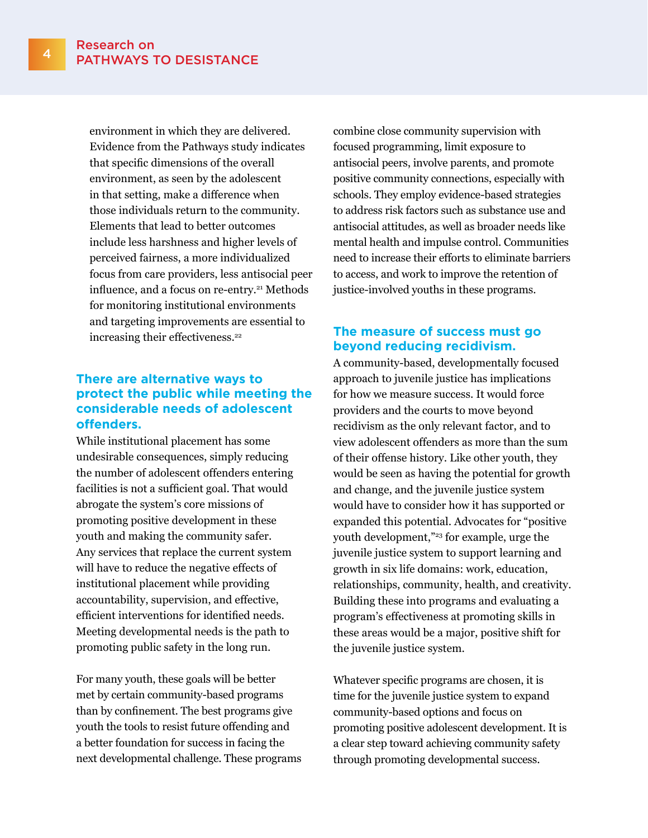environment in which they are delivered. Evidence from the Pathways study indicates that specific dimensions of the overall environment, as seen by the adolescent in that setting, make a difference when those individuals return to the community. Elements that lead to better outcomes include less harshness and higher levels of perceived fairness, a more individualized focus from care providers, less antisocial peer influence, and a focus on re-entry.<sup>21</sup> Methods for monitoring institutional environments and targeting improvements are essential to increasing their effectiveness.<sup>22</sup>

## **There are alternative ways to protect the public while meeting the considerable needs of adolescent offenders.**

While institutional placement has some undesirable consequences, simply reducing the number of adolescent offenders entering facilities is not a sufficient goal. That would abrogate the system's core missions of promoting positive development in these youth and making the community safer. Any services that replace the current system will have to reduce the negative effects of institutional placement while providing accountability, supervision, and effective, efficient interventions for identified needs. Meeting developmental needs is the path to promoting public safety in the long run.

For many youth, these goals will be better met by certain community-based programs than by confinement. The best programs give youth the tools to resist future offending and a better foundation for success in facing the next developmental challenge. These programs combine close community supervision with focused programming, limit exposure to antisocial peers, involve parents, and promote positive community connections, especially with schools. They employ evidence-based strategies to address risk factors such as substance use and antisocial attitudes, as well as broader needs like mental health and impulse control. Communities need to increase their efforts to eliminate barriers to access, and work to improve the retention of justice-involved youths in these programs.

### **The measure of success must go beyond reducing recidivism.**

A community-based, developmentally focused approach to juvenile justice has implications for how we measure success. It would force providers and the courts to move beyond recidivism as the only relevant factor, and to view adolescent offenders as more than the sum of their offense history. Like other youth, they would be seen as having the potential for growth and change, and the juvenile justice system would have to consider how it has supported or expanded this potential. Advocates for "positive youth development,"<sup>23</sup> for example, urge the juvenile justice system to support learning and growth in six life domains: work, education, relationships, community, health, and creativity. Building these into programs and evaluating a program's effectiveness at promoting skills in these areas would be a major, positive shift for the juvenile justice system.

Whatever specific programs are chosen, it is time for the juvenile justice system to expand community-based options and focus on promoting positive adolescent development. It is a clear step toward achieving community safety through promoting developmental success.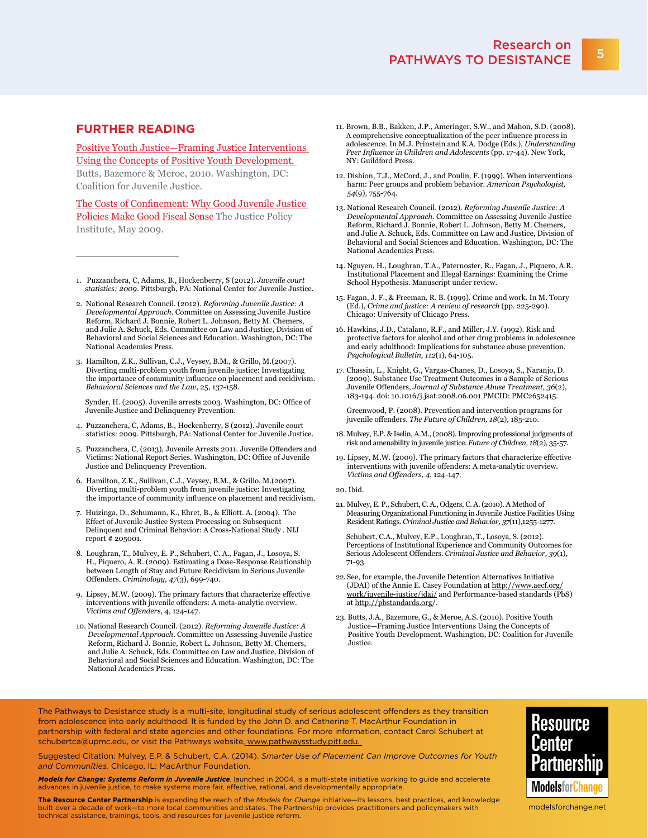#### **FURTHER READING**

[Positive Youth Justice—Framing Justice Interventions](http://www.juvjustice.org/sites/default/files/resource-files/Positive Youth Justice.pdf)  Using the Concepts of Positive Youth Development. Butts, Bazemore & Meroe, 2010. Washington, DC: Coalition for Juvenile Justice.

[The Costs of Confinement: Why Good Juvenile Justice](http://www.justicepolicy.org/images/upload/09_05_rep_costsofconfinement_jj_ps.pdf)  [Policies Make Good Fiscal Sense](http://www.justicepolicy.org/images/upload/09_05_rep_costsofconfinement_jj_ps.pdf) The Justice Policy Institute, May 2009.

- 1. Puzzanchera, C, Adams, B., Hockenberry, S (2012). *Juvenile court statistics: 2009*. Pittsburgh, PA: National Center for Juvenile Justice.
- 2. National Research Council. (2012). *Reforming Juvenile Justice: A Developmental Approach*. Committee on Assessing Juvenile Justice Reform, Richard J. Bonnie, Robert L. Johnson, Betty M. Chemers, and Julie A. Schuck, Eds. Committee on Law and Justice, Division of Behavioral and Social Sciences and Education. Washington, DC: The National Academies Press.
- 3. Hamilton, Z.K., Sullivan, C.J., Veysey, B.M., & Grillo, M.(2007). Diverting multi-problem youth from juvenile justice: Investigating the importance of community influence on placement and recidivism. *Behavioral Sciences and the Law*, 25, 137-158.

 Synder, H. (2005). Juvenile arrests 2003. Washington, DC: Office of Juvenile Justice and Delinquency Prevention.

- 4. Puzzanchera, C, Adams, B., Hockenberry, S (2012). Juvenile court statistics: 2009. Pittsburgh, PA: National Center for Juvenile Justice.
- 5. Puzzanchera, C, (2013), Juvenile Arrests 2011. Juvenile Offenders and Victims: National Report Series. Washington, DC: Office of Juvenile Justice and Delinquency Prevention.
- 6. Hamilton, Z.K., Sullivan, C.J., Veysey, B.M., & Grillo, M.(2007). Diverting multi-problem youth from juvenile justice: Investigating the importance of community influence on placement and recidivism.
- 7. Huizinga, D., Schumann, K., Ehret, B., & Elliott. A. (2004). The Effect of Juvenile Justice System Processing on Subsequent Delinquent and Criminal Behavior: A Cross-National Study . NIJ report # 205001.
- 8. Loughran, T., Mulvey, E. P., Schubert, C. A., Fagan, J., Losoya, S. H., Piquero, A. R. (2009). Estimating a Dose-Response Relationship between Length of Stay and Future Recidivism in Serious Juvenile Offenders. *Criminology, 47*(3), 699-740.
- 9. Lipsey, M.W. (2009). The primary factors that characterize effective interventions with juvenile offenders: A meta-analytic overview. *Victims and Offenders*, 4, 124-147.
- 10. National Research Council. (2012). *Reforming Juvenile Justice: A Developmental Approach*. Committee on Assessing Juvenile Justice Reform, Richard J. Bonnie, Robert L. Johnson, Betty M. Chemers, and Julie A. Schuck, Eds. Committee on Law and Justice, Division of Behavioral and Social Sciences and Education. Washington, DC: The National Academies Press.
- 11. Brown, B.B., Bakken, J.P., Ameringer, S.W., and Mahon, S.D. (2008). A comprehensive conceptualization of the peer influence process in adolescence. In M.J. Prinstein and K.A. Dodge (Eds.), *Understanding Peer Influence in Children and Adolescents* (pp. 17-44). New York, NY: Guildford Press.
- 12. Dishion, T.J., McCord, J., and Poulin, F. (1999). When interventions harm: Peer groups and problem behavior. *American Psychologist, 54*(9), 755-764.
- 13. National Research Council. (2012). *Reforming Juvenile Justice: A Developmental Approach*. Committee on Assessing Juvenile Justice Reform, Richard J. Bonnie, Robert L. Johnson, Betty M. Chemers, and Julie A. Schuck, Eds. Committee on Law and Justice, Division of Behavioral and Social Sciences and Education. Washington, DC: The National Academies Press.
- 14. Nguyen, H., Loughran, T.A., Paternoster, R., Fagan, J., Piquero, A.R. Institutional Placement and Illegal Earnings: Examining the Crime School Hypothesis. Manuscript under review.
- 15. Fagan, J. F., & Freeman, R. B. (1999). Crime and work. In M. Tonry (Ed.), *Crime and justice: A review of research* (pp. 225-290). Chicago: University of Chicago Press.
- 16. Hawkins, J.D., Catalano, R.F., and Miller, J.Y. (1992). Risk and protective factors for alcohol and other drug problems in adolescence and early adulthood: Implications for substance abuse prevention. *Psychological Bulletin, 112*(1), 64-105.
- 17. Chassin, L., Knight, G., Vargas-Chanes, D., Losoya, S., Naranjo, D. (2009). Substance Use Treatment Outcomes in a Sample of Serious Juvenile Offenders, *Journal of Substance Abuse Treatment, 36*(2), 183-194. doi: <10.1016/j.jsat>.2008.06.001 PMCID: PMC2652415.

 Greenwood, P. (2008). Prevention and intervention programs for juvenile offenders. *The Future of Children, 18*(2), 185-210.

- 18. Mulvey, E.P. & Iselin, A.M., (2008). Improving professional judgments of risk and amenability in juvenile justice. *Future of Children, 18*(2), 35-57.
- 19. Lipsey, M.W. (2009). The primary factors that characterize effective interventions with juvenile offenders: A meta-analytic overview. *Victims and Offenders, 4*, 124-147.
- 20. Ibid.
- 21. Mulvey, E. P., Schubert, C. A., Odgers, C. A. (2010). A Method of Measuring Organizational Functioning in Juvenile Justice Facilities Using Resident Ratings. *Criminal Justice and Behavior, 37*(11),1255-1277.

 Schubert, C.A., Mulvey, E.P., Loughran, T., Losoya, S. (2012). Perceptions of Institutional Experience and Community Outcomes for Serious Adolescent Offenders. *Criminal Justice and Behavior, 39*(1), 71-93.

- 22. See, for example, the Juvenile Detention Alternatives Initiative (JDAI) of the Annie E. Casey Foundation at [http://www.aecf.org/](http://www.aecf.org/work/juvenile-justice/jdai) [work/juvenile-justice/jdai/](http://www.aecf.org/work/juvenile-justice/jdai) and Performance-based standards (PbS) at [http://pbstandards.org/](http://pbstandards.org).
- 23. Butts, J.A., Bazemore, G., & Meroe, A.S. (2010). Positive Youth Justice—Framing Justice Interventions Using the Concepts of Positive Youth Development. Washington, DC: Coalition for Juvenile Justice.

The Pathways to Desistance study is a multi-site, longitudinal study of serious adolescent offenders as they transition from adolescence into early adulthood. It is funded by the John D. and Catherine T. MacArthur Foundation in partnership with federal and state agencies and other foundations. For more information, contact Carol Schubert at [schubertca@upmc.edu,](mailto:schubertca@upmc.edu) or visit the Pathways website, <www.pathwaysstudy.pitt.edu>.

Suggested Citation: Mulvey, E.P. & Schubert, C.A. (2014). *Smarter Use of Placement Can Improve Outcomes for Youth and Communities.* Chicago, IL: MacArthur Foundation.

*Models for Change: Systems Reform in Juvenile Justice*, launched in 2004, is a multi-state initiative working to guide and accelerate advances in juvenile justice, to make systems more fair, effective, rational, and developmentally appropriate

**The Resource Center Partnership** is expanding the reach of the *Models for Change* initiative—its lessons, best practices, and knowledge built over a decade of work—to more local communities and states. The Partnership provides practitioners and policymakers with technical assistance, trainings, tools, and resources for juvenile justice reform.



<modelsforchange.net>